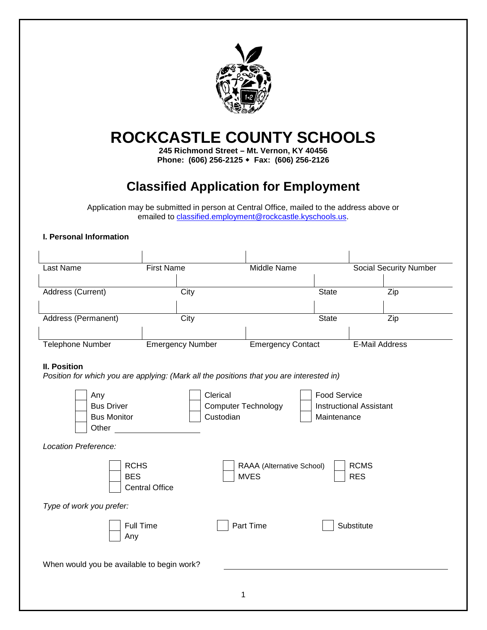

# **ROCKCASTLE COUNTY SCHOOLS**

**245 Richmond Street – Mt. Vernon, KY 40456 Phone: (606) 256-2125 Fax: (606) 256-2126**

# **Classified Application for Employment**

Application may be submitted in person at Central Office, mailed to the address above or emailed to [classified.employment@rockcastle.kyschools.us.](mailto:classified.employment@rockcastle.kyschools.us)

#### **I. Personal Information**

| Last Name                                                                                                       | <b>First Name</b>       | <b>Middle Name</b>                       |                                                                      | <b>Social Security Number</b> |  |
|-----------------------------------------------------------------------------------------------------------------|-------------------------|------------------------------------------|----------------------------------------------------------------------|-------------------------------|--|
| Address (Current)                                                                                               | City                    |                                          | <b>State</b>                                                         | Zip                           |  |
| Address (Permanent)                                                                                             | City                    |                                          | <b>State</b>                                                         | Zip                           |  |
| <b>Telephone Number</b>                                                                                         | <b>Emergency Number</b> | <b>Emergency Contact</b>                 |                                                                      | E-Mail Address                |  |
| <b>II. Position</b><br>Position for which you are applying: (Mark all the positions that you are interested in) |                         |                                          |                                                                      |                               |  |
| Any<br><b>Bus Driver</b><br><b>Bus Monitor</b><br>Other                                                         | Clerical<br>Custodian   | <b>Computer Technology</b>               | <b>Food Service</b><br><b>Instructional Assistant</b><br>Maintenance |                               |  |
| Location Preference:                                                                                            |                         |                                          |                                                                      |                               |  |
| <b>RCHS</b><br><b>BES</b>                                                                                       | <b>Central Office</b>   | RAAA (Alternative School)<br><b>MVES</b> | <b>RES</b>                                                           | <b>RCMS</b>                   |  |
| Type of work you prefer:                                                                                        |                         |                                          |                                                                      |                               |  |
| <b>Full Time</b><br>Any                                                                                         |                         | Part Time                                | Substitute                                                           |                               |  |
| When would you be available to begin work?                                                                      |                         |                                          |                                                                      |                               |  |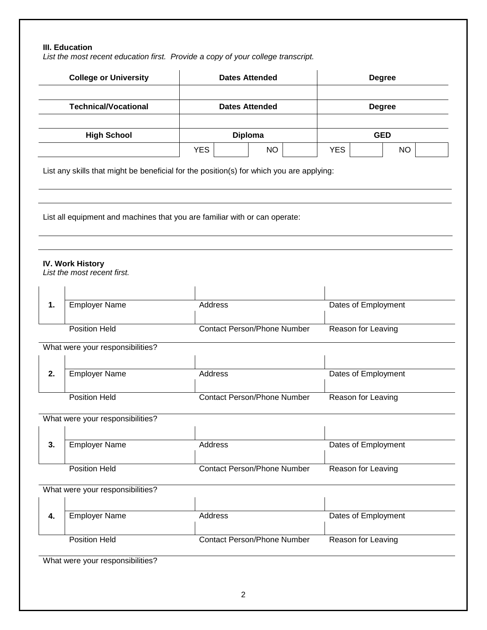## **III. Education**

*List the most recent education first. Provide a copy of your college transcript.*

| <b>Technical/Vocational</b> |                                                                                          |                                    | <b>Dates Attended</b>              |                    |  | <b>Degree</b> |                    |                     |
|-----------------------------|------------------------------------------------------------------------------------------|------------------------------------|------------------------------------|--------------------|--|---------------|--------------------|---------------------|
|                             | <b>High School</b>                                                                       |                                    | <b>Diploma</b>                     |                    |  | <b>GED</b>    |                    |                     |
|                             |                                                                                          | <b>YES</b>                         |                                    | <b>NO</b>          |  | <b>YES</b>    |                    | <b>NO</b>           |
|                             | List any skills that might be beneficial for the position(s) for which you are applying: |                                    |                                    |                    |  |               |                    |                     |
|                             | List all equipment and machines that you are familiar with or can operate:               |                                    |                                    |                    |  |               |                    |                     |
|                             | <b>IV. Work History</b><br>List the most recent first.                                   |                                    |                                    |                    |  |               |                    |                     |
| 1.                          | <b>Employer Name</b>                                                                     | Address                            |                                    |                    |  |               |                    | Dates of Employment |
|                             |                                                                                          | <b>Contact Person/Phone Number</b> |                                    | Reason for Leaving |  |               |                    |                     |
|                             | <b>Position Held</b>                                                                     |                                    |                                    |                    |  |               |                    |                     |
|                             | What were your responsibilities?                                                         |                                    |                                    |                    |  |               |                    |                     |
| 2.                          | <b>Employer Name</b>                                                                     | Address                            |                                    |                    |  |               |                    | Dates of Employment |
|                             | <b>Position Held</b>                                                                     |                                    | <b>Contact Person/Phone Number</b> |                    |  |               | Reason for Leaving |                     |
|                             | What were your responsibilities?                                                         |                                    |                                    |                    |  |               |                    |                     |
| 3.                          | <b>Employer Name</b>                                                                     | Address                            |                                    |                    |  |               |                    | Dates of Employment |
|                             | <b>Position Held</b>                                                                     |                                    | <b>Contact Person/Phone Number</b> |                    |  |               | Reason for Leaving |                     |
|                             | What were your responsibilities?                                                         |                                    |                                    |                    |  |               |                    |                     |
| 4.                          | <b>Employer Name</b>                                                                     | Address                            |                                    |                    |  |               |                    | Dates of Employment |